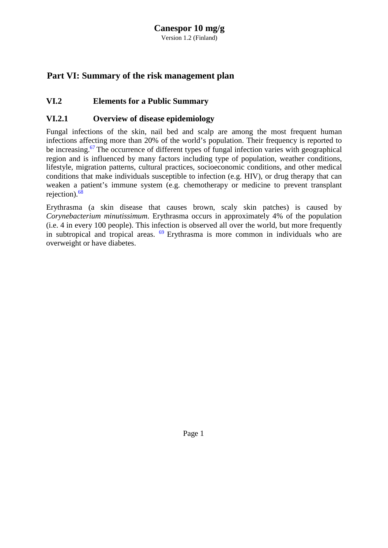# **Canespor 10 mg/g**

Version 1.2 (Finland)

### <span id="page-0-0"></span>**Part VI: Summary of the risk management plan**

### **VI.2 Elements for a Public Summary**

#### **VI.2.1 Overview of disease epidemiology**

Fungal infections of the skin, nail bed and scalp are among the most frequent human infections affecting more than 20% of the world's population. Their frequency is reported to be increasing.<sup>[67](#page-0-0)</sup> The occurrence of different types of fungal infection varies with geographical region and is influenced by many factors including type of population, weather conditions, lifestyle, migration patterns, cultural practices, socioeconomic conditions, and other medical conditions that make individuals susceptible to infection (e.g. HIV), or drug therapy that can weaken a patient's immune system (e.g. chemotherapy or medicine to prevent transplant rejection)[.68](#page-0-0)

Erythrasma (a skin disease that causes brown, scaly skin patches) is caused by *Corynebacterium minutissimum*. Erythrasma occurs in approximately 4% of the population (i.e. 4 in every 100 people). This infection is observed all over the world, but more frequently in subtropical and tropical areas.  $69$  Erythrasma is more common in individuals who are overweight or have diabetes.

Page 1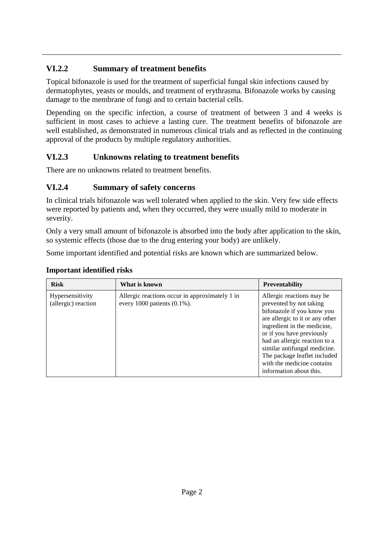# **VI.2.2 Summary of treatment benefits**

Topical bifonazole is used for the treatment of superficial fungal skin infections caused by dermatophytes, yeasts or moulds, and treatment of erythrasma. Bifonazole works by causing damage to the membrane of fungi and to certain bacterial cells.

Depending on the specific infection, a course of treatment of between 3 and 4 weeks is sufficient in most cases to achieve a lasting cure. The treatment benefits of bifonazole are well established, as demonstrated in numerous clinical trials and as reflected in the continuing approval of the products by multiple regulatory authorities.

# **VI.2.3 Unknowns relating to treatment benefits**

There are no unknowns related to treatment benefits.

## **VI.2.4 Summary of safety concerns**

In clinical trials bifonazole was well tolerated when applied to the skin. Very few side effects were reported by patients and, when they occurred, they were usually mild to moderate in severity.

Only a very small amount of bifonazole is absorbed into the body after application to the skin, so systemic effects (those due to the drug entering your body) are unlikely.

Some important identified and potential risks are known which are summarized below.

#### **Important identified risks**

| <b>Risk</b>                             | What is known                                                                     | <b>Preventability</b>                                                                                                                                                                                                                                                                                                                       |
|-----------------------------------------|-----------------------------------------------------------------------------------|---------------------------------------------------------------------------------------------------------------------------------------------------------------------------------------------------------------------------------------------------------------------------------------------------------------------------------------------|
| Hypersensitivity<br>(allergic) reaction | Allergic reactions occur in approximately 1 in<br>every 1000 patients $(0.1\%)$ . | Allergic reactions may be<br>prevented by not taking<br>bifonazole if you know you<br>are allergic to it or any other<br>ingredient in the medicine,<br>or if you have previously<br>had an allergic reaction to a<br>similar antifungal medicine.<br>The package leaflet included<br>with the medicine contains<br>information about this. |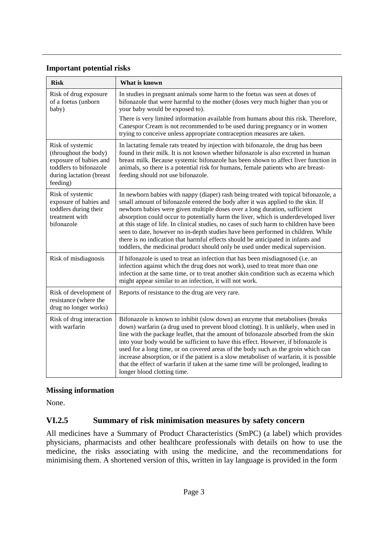#### **Important potential risks**

| <b>Risk</b>                                                                                                                           | What is known                                                                                                                                                                                                                                                                                                                                                                                                                                                                                                                                                                                                                                                                                    |  |
|---------------------------------------------------------------------------------------------------------------------------------------|--------------------------------------------------------------------------------------------------------------------------------------------------------------------------------------------------------------------------------------------------------------------------------------------------------------------------------------------------------------------------------------------------------------------------------------------------------------------------------------------------------------------------------------------------------------------------------------------------------------------------------------------------------------------------------------------------|--|
| Risk of drug exposure<br>of a foetus (unborn<br>baby)                                                                                 | In studies in pregnant animals some harm to the foetus was seen at doses of<br>bifonazole that were harmful to the mother (doses very much higher than you or<br>your baby would be exposed to).                                                                                                                                                                                                                                                                                                                                                                                                                                                                                                 |  |
|                                                                                                                                       | There is very limited information available from humans about this risk. Therefore,<br>Canespor Cream is not recommended to be used during pregnancy or in women<br>trying to conceive unless appropriate contraception measures are taken.                                                                                                                                                                                                                                                                                                                                                                                                                                                      |  |
| Risk of systemic<br>(throughout the body)<br>exposure of babies and<br>toddlers to bifonazole<br>during lactation (breast<br>feeding) | In lactating female rats treated by injection with bifonazole, the drug has been<br>found in their milk. It is not known whether bifonazole is also excreted in human<br>breast milk. Because systemic bifonazole has been shown to affect liver function in<br>animals, so there is a potential risk for humans, female patients who are breast-<br>feeding should not use bifonazole.                                                                                                                                                                                                                                                                                                          |  |
| Risk of systemic<br>exposure of babies and<br>toddlers during their<br>treatment with<br>bifonazole                                   | In newborn babies with nappy (diaper) rash being treated with topical bifonazole, a<br>small amount of bifonazole entered the body after it was applied to the skin. If<br>newborn babies were given multiple doses over a long duration, sufficient<br>absorption could occur to potentially harm the liver, which is underdeveloped liver<br>at this stage of life. In clinical studies, no cases of such harm to children have been<br>seen to date, however no in-depth studies have been performed in children. While<br>there is no indication that harmful effects should be anticipated in infants and<br>toddlers, the medicinal product should only be used under medical supervision. |  |
| Risk of misdiagnosis                                                                                                                  | If bifonazole is used to treat an infection that has been misdiagnosed (i.e. an<br>infection against which the drug does not work), used to treat more than one<br>infection at the same time, or to treat another skin condition such as eczema which<br>might appear similar to an infection, it will not work.                                                                                                                                                                                                                                                                                                                                                                                |  |
| Risk of development of<br>resistance (where the<br>drug no longer works)                                                              | Reports of resistance to the drug are very rare.                                                                                                                                                                                                                                                                                                                                                                                                                                                                                                                                                                                                                                                 |  |
| Risk of drug interaction<br>with warfarin                                                                                             | Bifonazole is known to inhibit (slow down) an enzyme that metabolises (breaks<br>down) warfarin (a drug used to prevent blood clotting). It is unlikely, when used in<br>line with the package leaflet, that the amount of bifonazole absorbed from the skin<br>into your body would be sufficient to have this effect. However, if bifonazole is<br>used for a long time, or on covered areas of the body such as the groin which can<br>increase absorption, or if the patient is a slow metaboliser of warfarin, it is possible<br>that the effect of warfarin if taken at the same time will be prolonged, leading to<br>longer blood clotting time.                                         |  |

#### **Missing information**

None.

#### **VI.2.5 Summary of risk minimisation measures by safety concern**

All medicines have a Summary of Product Characteristics (SmPC) (a label) which provides physicians, pharmacists and other healthcare professionals with details on how to use the medicine, the risks associating with using the medicine, and the recommendations for minimising them. A shortened version of this, written in lay language is provided in the form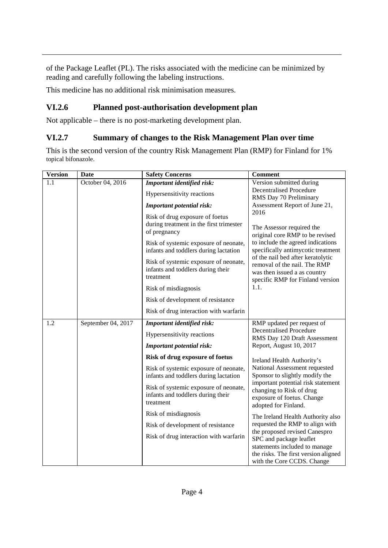of the Package Leaflet (PL). The risks associated with the medicine can be minimized by reading and carefully following the labeling instructions.

This medicine has no additional risk minimisation measures.

### **VI.2.6 Planned post-authorisation development plan**

Not applicable – there is no post-marketing development plan.

### **VI.2.7 Summary of changes to the Risk Management Plan over time**

This is the second version of the country Risk Management Plan (RMP) for Finland for 1% topical bifonazole.

| <b>Version</b> | <b>Date</b>        | <b>Safety Concerns</b>                                                                     | <b>Comment</b>                                                                                                                                                                                                                                                                                                                                                                                                                     |
|----------------|--------------------|--------------------------------------------------------------------------------------------|------------------------------------------------------------------------------------------------------------------------------------------------------------------------------------------------------------------------------------------------------------------------------------------------------------------------------------------------------------------------------------------------------------------------------------|
| 1.1            | October 04, 2016   | Important identified risk:                                                                 | Version submitted during<br><b>Decentralised Procedure</b><br>RMS Day 70 Preliminary<br>Assessment Report of June 21,<br>2016<br>The Assessor required the<br>original core RMP to be revised<br>to include the agreed indications<br>specifically antimycotic treatment<br>of the nail bed after keratolytic<br>removal of the nail. The RMP<br>was then issued a as country<br>specific RMP for Finland version<br>1.1.          |
|                |                    | Hypersensitivity reactions                                                                 |                                                                                                                                                                                                                                                                                                                                                                                                                                    |
|                |                    | <b>Important potential risk:</b>                                                           |                                                                                                                                                                                                                                                                                                                                                                                                                                    |
|                |                    | Risk of drug exposure of foetus<br>during treatment in the first trimester<br>of pregnancy |                                                                                                                                                                                                                                                                                                                                                                                                                                    |
|                |                    | Risk of systemic exposure of neonate,<br>infants and toddlers during lactation             |                                                                                                                                                                                                                                                                                                                                                                                                                                    |
|                |                    | Risk of systemic exposure of neonate,<br>infants and toddlers during their<br>treatment    |                                                                                                                                                                                                                                                                                                                                                                                                                                    |
|                |                    | Risk of misdiagnosis                                                                       |                                                                                                                                                                                                                                                                                                                                                                                                                                    |
|                |                    | Risk of development of resistance                                                          |                                                                                                                                                                                                                                                                                                                                                                                                                                    |
|                |                    | Risk of drug interaction with warfarin                                                     |                                                                                                                                                                                                                                                                                                                                                                                                                                    |
| 1.2            | September 04, 2017 | Important identified risk:                                                                 | RMP updated per request of<br><b>Decentralised Procedure</b><br>RMS Day 120 Draft Assessment<br>Report, August 10, 2017                                                                                                                                                                                                                                                                                                            |
|                |                    | Hypersensitivity reactions                                                                 |                                                                                                                                                                                                                                                                                                                                                                                                                                    |
|                |                    | <b>Important potential risk:</b>                                                           |                                                                                                                                                                                                                                                                                                                                                                                                                                    |
|                |                    | Risk of drug exposure of foetus                                                            | Ireland Health Authority's                                                                                                                                                                                                                                                                                                                                                                                                         |
|                |                    | Risk of systemic exposure of neonate,<br>infants and toddlers during lactation             | National Assessment requested<br>Sponsor to slightly modify the<br>important potential risk statement<br>changing to Risk of drug<br>exposure of foetus. Change<br>adopted for Finland.<br>The Ireland Health Authority also<br>requested the RMP to align with<br>the proposed revised Canespro<br>SPC and package leaflet<br>statements included to manage<br>the risks. The first version aligned<br>with the Core CCDS. Change |
|                |                    | Risk of systemic exposure of neonate,<br>infants and toddlers during their<br>treatment    |                                                                                                                                                                                                                                                                                                                                                                                                                                    |
|                |                    | Risk of misdiagnosis                                                                       |                                                                                                                                                                                                                                                                                                                                                                                                                                    |
|                |                    | Risk of development of resistance                                                          |                                                                                                                                                                                                                                                                                                                                                                                                                                    |
|                |                    | Risk of drug interaction with warfarin                                                     |                                                                                                                                                                                                                                                                                                                                                                                                                                    |
|                |                    |                                                                                            |                                                                                                                                                                                                                                                                                                                                                                                                                                    |